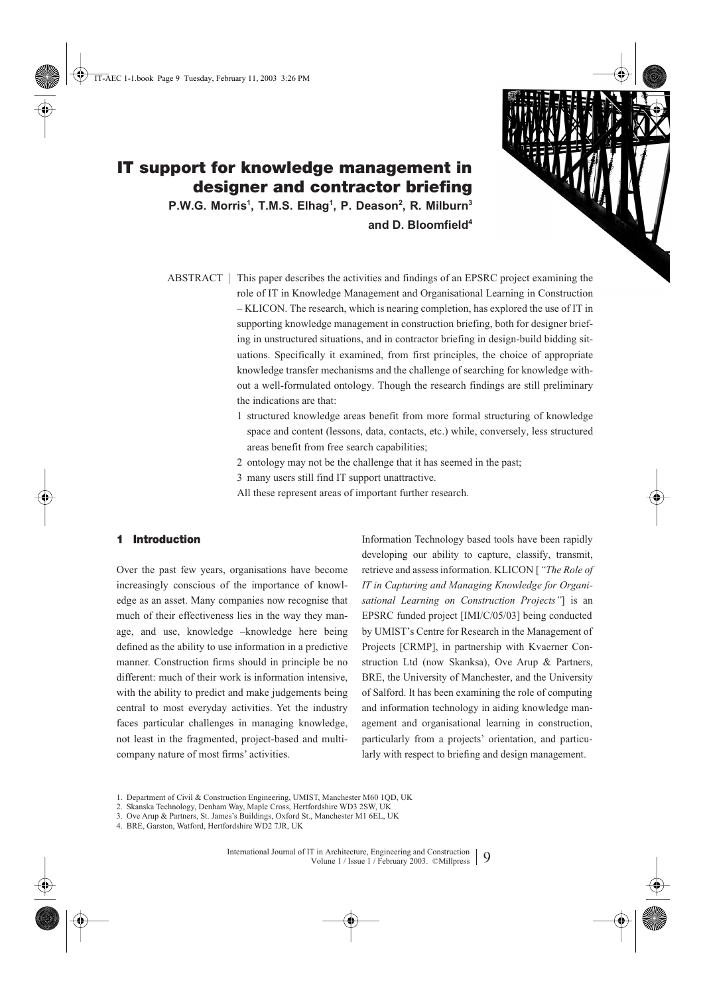

# **IT support for knowledge management in designer and contractor briefing**

**P.W.G. Morris1 , T.M.S. Elhag1 , P. Deason2 , R. Milburn3 and D. Bloomfield4**

- ABSTRACT | This paper describes the activities and findings of an EPSRC project examining the role of IT in Knowledge Management and Organisational Learning in Construction – KLICON. The research, which is nearing completion, has explored the use of IT in supporting knowledge management in construction briefing, both for designer briefing in unstructured situations, and in contractor briefing in design-build bidding situations. Specifically it examined, from first principles, the choice of appropriate knowledge transfer mechanisms and the challenge of searching for knowledge without a well-formulated ontology. Though the research findings are still preliminary the indications are that:
	- 1 structured knowledge areas benefit from more formal structuring of knowledge space and content (lessons, data, contacts, etc.) while, conversely, less structured areas benefit from free search capabilities;
	- 2 ontology may not be the challenge that it has seemed in the past;
	- 3 many users still find IT support unattractive.
	- All these represent areas of important further research.

### **1 Introduction**

Over the past few years, organisations have become increasingly conscious of the importance of knowledge as an asset. Many companies now recognise that much of their effectiveness lies in the way they manage, and use, knowledge –knowledge here being defined as the ability to use information in a predictive manner. Construction firms should in principle be no different: much of their work is information intensive, with the ability to predict and make judgements being central to most everyday activities. Yet the industry faces particular challenges in managing knowledge, not least in the fragmented, project-based and multicompany nature of most firms' activities.

Information Technology based tools have been rapidly developing our ability to capture, classify, transmit, retrieve and assess information. KLICON [*"The Role of IT in Capturing and Managing Knowledge for Organisational Learning on Construction Projects"*] is an EPSRC funded project [IMI/C/05/03] being conducted by UMIST's Centre for Research in the Management of Projects [CRMP], in partnership with Kvaerner Construction Ltd (now Skanksa), Ove Arup & Partners, BRE, the University of Manchester, and the University of Salford. It has been examining the role of computing and information technology in aiding knowledge management and organisational learning in construction, particularly from a projects' orientation, and particularly with respect to briefing and design management.

<sup>1.</sup> Department of Civil & Construction Engineering, UMIST, Manchester M60 1QD, UK

<sup>2.</sup> Skanska Technology, Denham Way, Maple Cross, Hertfordshire WD3 2SW, UK

<sup>3.</sup> Ove Arup & Partners, St. James's Buildings, Oxford St., Manchester M1 6EL, UK

<sup>4.</sup> BRE, Garston, Watford, Hertfordshire WD2 7JR, UK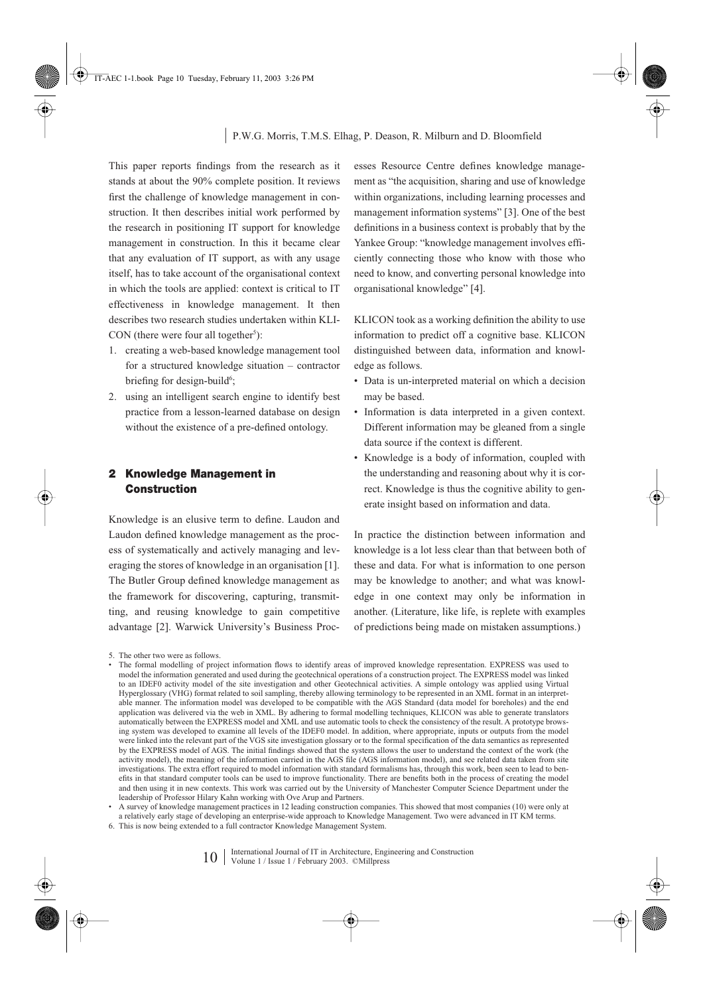This paper reports findings from the research as it stands at about the 90% complete position. It reviews first the challenge of knowledge management in construction. It then describes initial work performed by the research in positioning IT support for knowledge management in construction. In this it became clear that any evaluation of IT support, as with any usage itself, has to take account of the organisational context in which the tools are applied: context is critical to IT effectiveness in knowledge management. It then describes two research studies undertaken within KLI-CON (there were four all together<sup>5</sup>):

- 1. creating a web-based knowledge management tool for a structured knowledge situation – contractor briefing for design-build<sup>6</sup>;
- 2. using an intelligent search engine to identify best practice from a lesson-learned database on design without the existence of a pre-defined ontology.

# **2 Knowledge Management in Construction**

Knowledge is an elusive term to define. Laudon and Laudon defined knowledge management as the process of systematically and actively managing and leveraging the stores of knowledge in an organisation [1]. The Butler Group defined knowledge management as the framework for discovering, capturing, transmitting, and reusing knowledge to gain competitive advantage [2]. Warwick University's Business ProcKLICON took as a working definition the ability to use information to predict off a cognitive base. KLICON distinguished between data, information and knowledge as follows.

- Data is un-interpreted material on which a decision may be based.
- Information is data interpreted in a given context. Different information may be gleaned from a single data source if the context is different.
- Knowledge is a body of information, coupled with the understanding and reasoning about why it is correct. Knowledge is thus the cognitive ability to generate insight based on information and data.

In practice the distinction between information and knowledge is a lot less clear than that between both of these and data. For what is information to one person may be knowledge to another; and what was knowledge in one context may only be information in another. (Literature, like life, is replete with examples of predictions being made on mistaken assumptions.)

<sup>5.</sup> The other two were as follows.

esses Resource Centre defines knowledge management as "the acquisition, sharing and use of knowledge within organizations, including learning processes and management information systems" [3]. One of the best definitions in a business context is probably that by the Yankee Group: "knowledge management involves efficiently connecting those who know with those who need to know, and converting personal knowledge into organisational knowledge" [4].

<sup>•</sup> The formal modelling of project information flows to identify areas of improved knowledge representation. EXPRESS was used to model the information generated and used during the geotechnical operations of a construction project. The EXPRESS model was linked to an IDEF0 activity model of the site investigation and other Geotechnical activities. A simple ontology was applied using Virtual Hyperglossary (VHG) format related to soil sampling, thereby allowing terminology to be represented in an XML format in an interpretable manner. The information model was developed to be compatible with the AGS Standard (data model for boreholes) and the end application was delivered via the web in XML. By adhering to formal modelling techniques, KLICON was able to generate translators automatically between the EXPRESS model and XML and use automatic tools to check the consistency of the result. A prototype browsing system was developed to examine all levels of the IDEF0 model. In addition, where appropriate, inputs or outputs from the model were linked into the relevant part of the VGS site investigation glossary or to the formal specification of the data semantics as represented by the EXPRESS model of AGS. The initial findings showed that the system allows the user to understand the context of the work (the activity model), the meaning of the information carried in the AGS file (AGS information model), and see related data taken from site investigations. The extra effort required to model information with standard formalisms has, through this work, been seen to lead to benefits in that standard computer tools can be used to improve functionality. There are benefits both in the process of creating the model and then using it in new contexts. This work was carried out by the University of Manchester Computer Science Department under the leadership of Professor Hilary Kahn working with Ove Arup and Partners.

<sup>•</sup> A survey of knowledge management practices in 12 leading construction companies. This showed that most companies (10) were only at a relatively early stage of developing an enterprise-wide approach to Knowledge Management. Two were advanced in IT KM terms.

<sup>6.</sup> This is now being extended to a full contractor Knowledge Management System.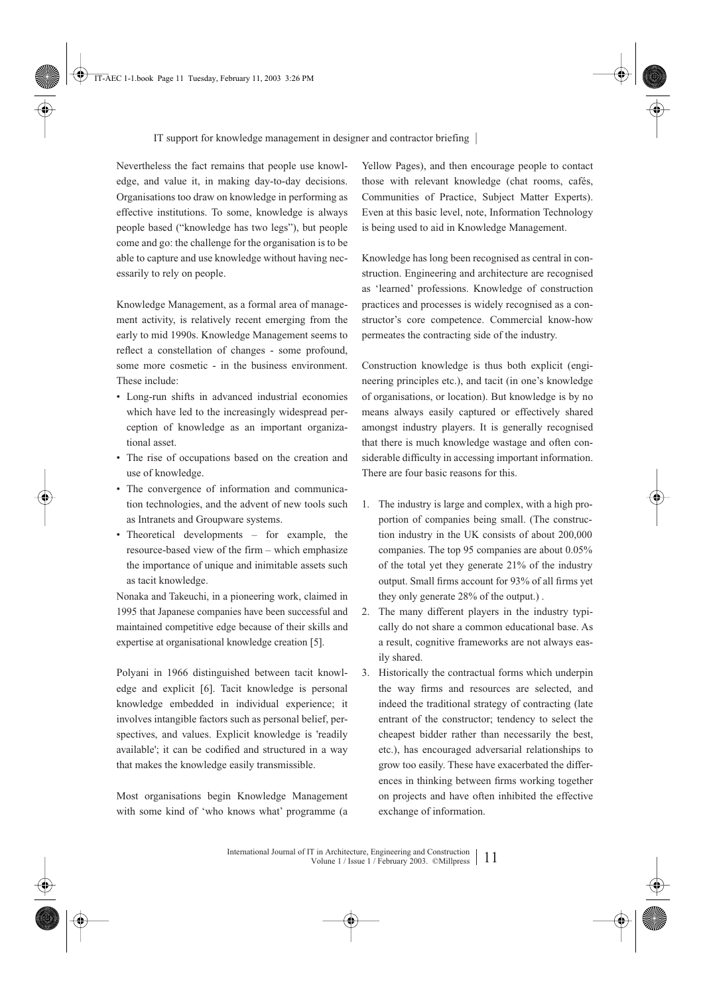Nevertheless the fact remains that people use knowledge, and value it, in making day-to-day decisions. Organisations too draw on knowledge in performing as effective institutions. To some, knowledge is always people based ("knowledge has two legs"), but people come and go: the challenge for the organisation is to be able to capture and use knowledge without having necessarily to rely on people.

Knowledge Management, as a formal area of management activity, is relatively recent emerging from the early to mid 1990s. Knowledge Management seems to reflect a constellation of changes - some profound, some more cosmetic - in the business environment. These include:

- Long-run shifts in advanced industrial economies which have led to the increasingly widespread perception of knowledge as an important organizational asset.
- The rise of occupations based on the creation and use of knowledge.
- The convergence of information and communication technologies, and the advent of new tools such as Intranets and Groupware systems.
- Theoretical developments for example, the resource-based view of the firm – which emphasize the importance of unique and inimitable assets such as tacit knowledge.

Nonaka and Takeuchi, in a pioneering work, claimed in 1995 that Japanese companies have been successful and maintained competitive edge because of their skills and expertise at organisational knowledge creation [5].

Polyani in 1966 distinguished between tacit knowledge and explicit [6]. Tacit knowledge is personal knowledge embedded in individual experience; it involves intangible factors such as personal belief, perspectives, and values. Explicit knowledge is 'readily available'; it can be codified and structured in a way that makes the knowledge easily transmissible.

Most organisations begin Knowledge Management with some kind of 'who knows what' programme (a Yellow Pages), and then encourage people to contact those with relevant knowledge (chat rooms, cafés, Communities of Practice, Subject Matter Experts). Even at this basic level, note, Information Technology is being used to aid in Knowledge Management.

Knowledge has long been recognised as central in construction. Engineering and architecture are recognised as 'learned' professions. Knowledge of construction practices and processes is widely recognised as a constructor's core competence. Commercial know-how permeates the contracting side of the industry.

Construction knowledge is thus both explicit (engineering principles etc.), and tacit (in one's knowledge of organisations, or location). But knowledge is by no means always easily captured or effectively shared amongst industry players. It is generally recognised that there is much knowledge wastage and often considerable difficulty in accessing important information. There are four basic reasons for this.

- 1. The industry is large and complex, with a high proportion of companies being small. (The construction industry in the UK consists of about 200,000 companies. The top 95 companies are about 0.05% of the total yet they generate 21% of the industry output. Small firms account for 93% of all firms yet they only generate 28% of the output.) .
- 2. The many different players in the industry typically do not share a common educational base. As a result, cognitive frameworks are not always easily shared.
- 3. Historically the contractual forms which underpin the way firms and resources are selected, and indeed the traditional strategy of contracting (late entrant of the constructor; tendency to select the cheapest bidder rather than necessarily the best, etc.), has encouraged adversarial relationships to grow too easily. These have exacerbated the differences in thinking between firms working together on projects and have often inhibited the effective exchange of information.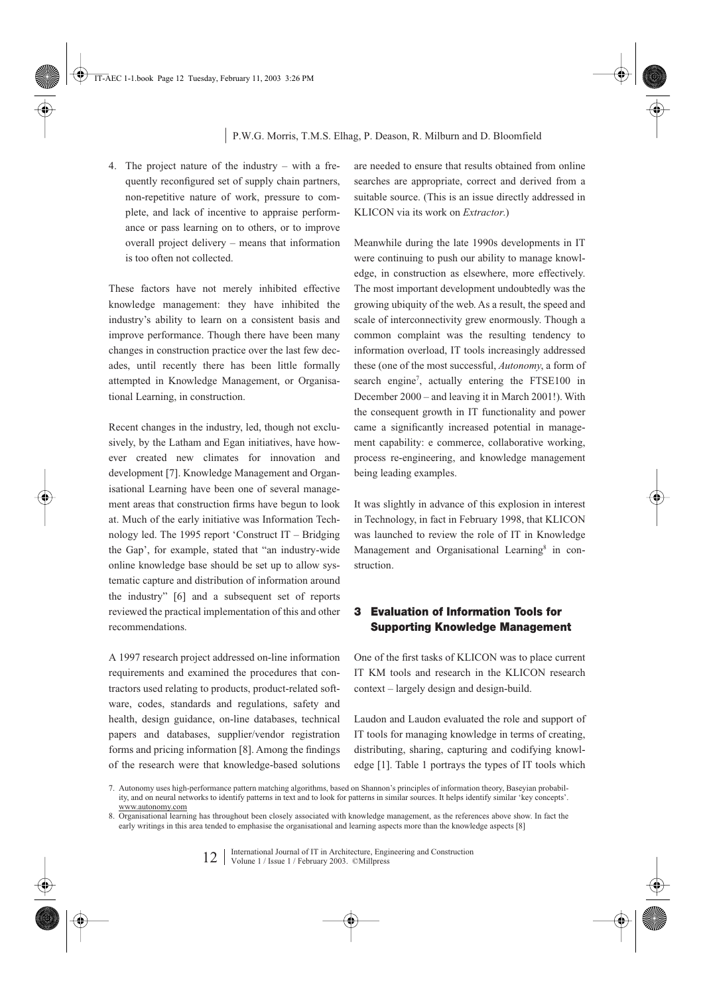4. The project nature of the industry – with a frequently reconfigured set of supply chain partners, non-repetitive nature of work, pressure to complete, and lack of incentive to appraise performance or pass learning on to others, or to improve overall project delivery – means that information is too often not collected.

These factors have not merely inhibited effective knowledge management: they have inhibited the industry's ability to learn on a consistent basis and improve performance. Though there have been many changes in construction practice over the last few decades, until recently there has been little formally attempted in Knowledge Management, or Organisational Learning, in construction.

Recent changes in the industry, led, though not exclusively, by the Latham and Egan initiatives, have however created new climates for innovation and development [7]. Knowledge Management and Organisational Learning have been one of several management areas that construction firms have begun to look at. Much of the early initiative was Information Technology led. The 1995 report 'Construct IT – Bridging the Gap', for example, stated that "an industry-wide online knowledge base should be set up to allow systematic capture and distribution of information around the industry" [6] and a subsequent set of reports reviewed the practical implementation of this and other recommendations.

A 1997 research project addressed on-line information requirements and examined the procedures that contractors used relating to products, product-related software, codes, standards and regulations, safety and health, design guidance, on-line databases, technical papers and databases, supplier/vendor registration forms and pricing information [8]. Among the findings of the research were that knowledge-based solutions

are needed to ensure that results obtained from online searches are appropriate, correct and derived from a suitable source. (This is an issue directly addressed in KLICON via its work on *Extractor*.)

Meanwhile during the late 1990s developments in IT were continuing to push our ability to manage knowledge, in construction as elsewhere, more effectively. The most important development undoubtedly was the growing ubiquity of the web. As a result, the speed and scale of interconnectivity grew enormously. Though a common complaint was the resulting tendency to information overload, IT tools increasingly addressed these (one of the most successful, *Autonomy*, a form of search engine<sup>7</sup>, actually entering the FTSE100 in December 2000 – and leaving it in March 2001!). With the consequent growth in IT functionality and power came a significantly increased potential in management capability: e commerce, collaborative working, process re-engineering, and knowledge management being leading examples.

It was slightly in advance of this explosion in interest in Technology, in fact in February 1998, that KLICON was launched to review the role of IT in Knowledge Management and Organisational Learning<sup>8</sup> in construction.

# **3 Evaluation of Information Tools for Supporting Knowledge Management**

One of the first tasks of KLICON was to place current IT KM tools and research in the KLICON research context – largely design and design-build.

Laudon and Laudon evaluated the role and support of IT tools for managing knowledge in terms of creating, distributing, sharing, capturing and codifying knowledge [1]. Table 1 portrays the types of IT tools which

7. Autonomy uses high-performance pattern matching algorithms, based on Shannon's principles of information theory, Baseyian probability, and on neural networks to identify patterns in text and to look for patterns in similar sources. It helps identify similar 'key concepts'. www.autonomy.com

8. Organisational learning has throughout been closely associated with knowledge management, as the references above show. In fact the early writings in this area tended to emphasise the organisational and learning aspects more than the knowledge aspects [8]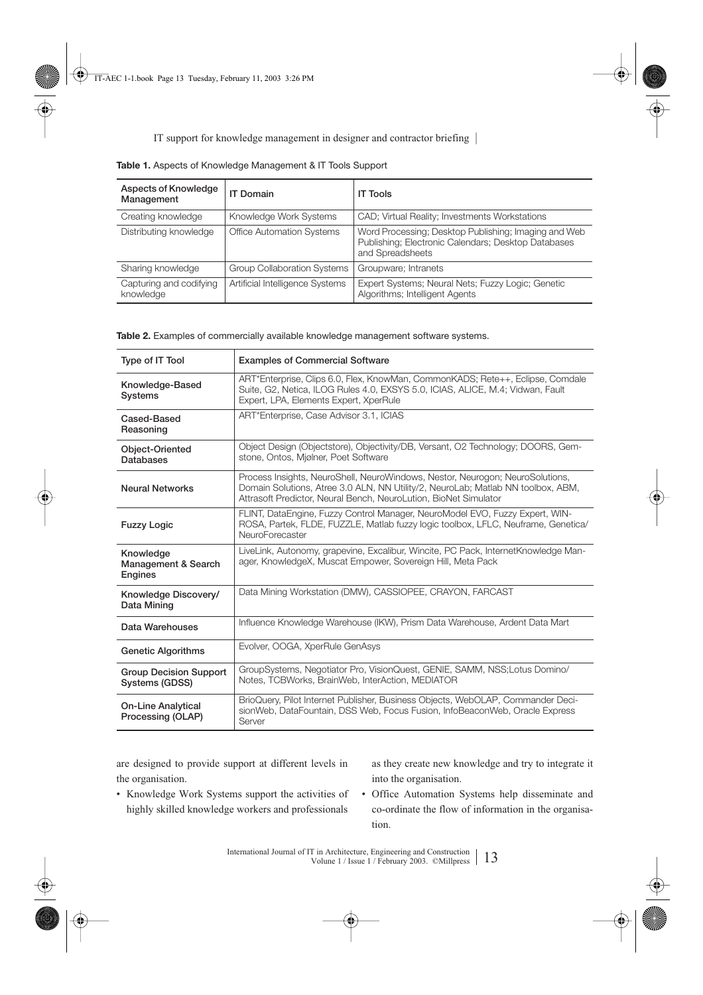IT support for knowledge management in designer and contractor briefing |

| Aspects of Knowledge<br>Management   | <b>IT Domain</b>                   | <b>IT Tools</b>                                                                                                                 |
|--------------------------------------|------------------------------------|---------------------------------------------------------------------------------------------------------------------------------|
| Creating knowledge                   | Knowledge Work Systems             | CAD; Virtual Reality; Investments Workstations                                                                                  |
| Distributing knowledge               | <b>Office Automation Systems</b>   | Word Processing: Desktop Publishing: Imaging and Web<br>Publishing; Electronic Calendars; Desktop Databases<br>and Spreadsheets |
| Sharing knowledge                    | <b>Group Collaboration Systems</b> | Groupware; Intranets                                                                                                            |
| Capturing and codifying<br>knowledge | Artificial Intelligence Systems    | Expert Systems; Neural Nets; Fuzzy Logic; Genetic<br>Algorithms; Intelligent Agents                                             |

**Table 1.** Aspects of Knowledge Management & IT Tools Support

**Table 2.** Examples of commercially available knowledge management software systems.

| Type of IT Tool                                 | <b>Examples of Commercial Software</b>                                                                                                                                                                                                |  |  |
|-------------------------------------------------|---------------------------------------------------------------------------------------------------------------------------------------------------------------------------------------------------------------------------------------|--|--|
| Knowledge-Based<br><b>Systems</b>               | ART*Enterprise, Clips 6.0, Flex, KnowMan, CommonKADS; Rete++, Eclipse, Comdale<br>Suite, G2, Netica, ILOG Rules 4.0, EXSYS 5.0, ICIAS, ALICE, M.4; Vidwan, Fault<br>Expert, LPA, Elements Expert, XperRule                            |  |  |
| Cased-Based<br>Reasoning                        | ART*Enterprise, Case Advisor 3.1, ICIAS                                                                                                                                                                                               |  |  |
| Object-Oriented<br><b>Databases</b>             | Object Design (Objectstore), Objectivity/DB, Versant, O2 Technology; DOORS, Gem-<br>stone, Ontos, Miølner, Poet Software                                                                                                              |  |  |
| <b>Neural Networks</b>                          | Process Insights, NeuroShell, NeuroWindows, Nestor, Neurogon; NeuroSolutions,<br>Domain Solutions, Atree 3.0 ALN, NN Utility/2, NeuroLab; Matlab NN toolbox, ABM,<br>Attrasoft Predictor, Neural Bench, NeuroLution, BioNet Simulator |  |  |
| <b>Fuzzy Logic</b>                              | FLINT, DataEngine, Fuzzy Control Manager, NeuroModel EVO, Fuzzy Expert, WIN-<br>ROSA, Partek, FLDE, FUZZLE, Matlab fuzzy logic toolbox, LFLC, Neuframe, Genetica/<br>NeuroForecaster                                                  |  |  |
| Knowledge<br>Management & Search<br>Engines     | LiveLink, Autonomy, grapevine, Excalibur, Wincite, PC Pack, InternetKnowledge Man-<br>ager, KnowledgeX, Muscat Empower, Sovereign Hill, Meta Pack                                                                                     |  |  |
| Knowledge Discovery/<br>Data Mining             | Data Mining Workstation (DMW), CASSIOPEE, CRAYON, FARCAST                                                                                                                                                                             |  |  |
| Data Warehouses                                 | Influence Knowledge Warehouse (IKW), Prism Data Warehouse, Ardent Data Mart                                                                                                                                                           |  |  |
| <b>Genetic Algorithms</b>                       | Evolver, OOGA, XperRule GenAsys                                                                                                                                                                                                       |  |  |
| <b>Group Decision Support</b><br>Systems (GDSS) | GroupSystems, Negotiator Pro, VisionQuest, GENIE, SAMM, NSS;Lotus Domino/<br>Notes, TCBWorks, BrainWeb, InterAction, MEDIATOR                                                                                                         |  |  |
| <b>On-Line Analytical</b><br>Processing (OLAP)  | BrioQuery, Pilot Internet Publisher, Business Objects, WebOLAP, Commander Deci-<br>sionWeb, DataFountain, DSS Web, Focus Fusion, InfoBeaconWeb, Oracle Express<br>Server                                                              |  |  |

are designed to provide support at different levels in the organisation.

as they create new knowledge and try to integrate it into the organisation.

- Knowledge Work Systems support the activities of highly skilled knowledge workers and professionals
- Office Automation Systems help disseminate and co-ordinate the flow of information in the organisation.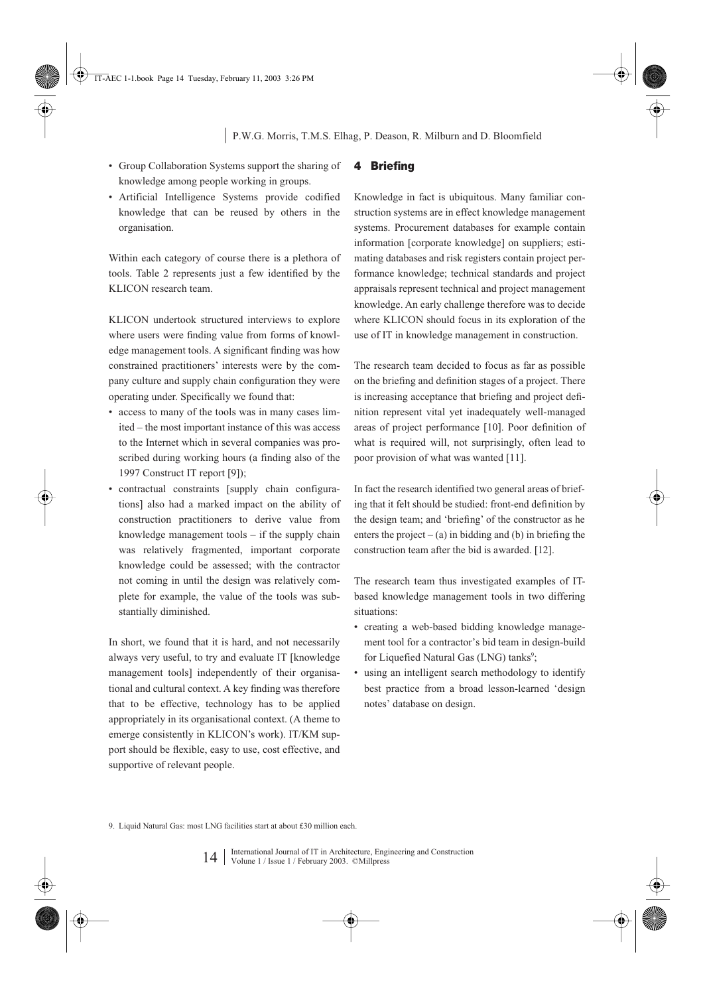- Group Collaboration Systems support the sharing of knowledge among people working in groups.
- Artificial Intelligence Systems provide codified knowledge that can be reused by others in the organisation.

Within each category of course there is a plethora of tools. Table 2 represents just a few identified by the KLICON research team.

KLICON undertook structured interviews to explore where users were finding value from forms of knowledge management tools. A significant finding was how constrained practitioners' interests were by the company culture and supply chain configuration they were operating under. Specifically we found that:

- access to many of the tools was in many cases limited – the most important instance of this was access to the Internet which in several companies was proscribed during working hours (a finding also of the 1997 Construct IT report [9]);
- contractual constraints [supply chain configurations] also had a marked impact on the ability of construction practitioners to derive value from knowledge management tools – if the supply chain was relatively fragmented, important corporate knowledge could be assessed; with the contractor not coming in until the design was relatively complete for example, the value of the tools was substantially diminished.

In short, we found that it is hard, and not necessarily always very useful, to try and evaluate IT [knowledge management tools] independently of their organisational and cultural context. A key finding was therefore that to be effective, technology has to be applied appropriately in its organisational context. (A theme to emerge consistently in KLICON's work). IT/KM support should be flexible, easy to use, cost effective, and supportive of relevant people.

### **4 Briefing**

Knowledge in fact is ubiquitous. Many familiar construction systems are in effect knowledge management systems. Procurement databases for example contain information [corporate knowledge] on suppliers; estimating databases and risk registers contain project performance knowledge; technical standards and project appraisals represent technical and project management knowledge. An early challenge therefore was to decide where KLICON should focus in its exploration of the use of IT in knowledge management in construction.

The research team decided to focus as far as possible on the briefing and definition stages of a project. There is increasing acceptance that briefing and project definition represent vital yet inadequately well-managed areas of project performance [10]. Poor definition of what is required will, not surprisingly, often lead to poor provision of what was wanted [11].

In fact the research identified two general areas of briefing that it felt should be studied: front-end definition by the design team; and 'briefing' of the constructor as he enters the project  $-$  (a) in bidding and (b) in briefing the construction team after the bid is awarded. [12].

The research team thus investigated examples of ITbased knowledge management tools in two differing situations:

- creating a web-based bidding knowledge management tool for a contractor's bid team in design-build for Liquefied Natural Gas (LNG) tanks<sup>9</sup>;
- using an intelligent search methodology to identify best practice from a broad lesson-learned 'design notes' database on design.

9. Liquid Natural Gas: most LNG facilities start at about £30 million each.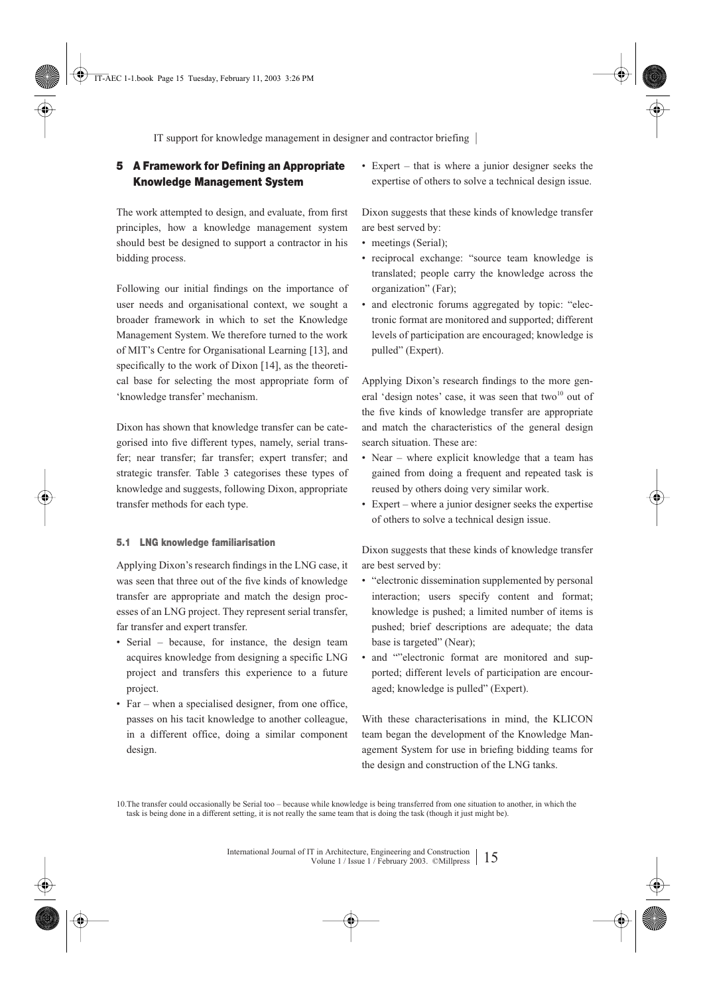IT support for knowledge management in designer and contractor briefing |

# **5 A Framework for Defining an Appropriate Knowledge Management System**

The work attempted to design, and evaluate, from first principles, how a knowledge management system should best be designed to support a contractor in his bidding process.

Following our initial findings on the importance of user needs and organisational context, we sought a broader framework in which to set the Knowledge Management System. We therefore turned to the work of MIT's Centre for Organisational Learning [13], and specifically to the work of Dixon [14], as the theoretical base for selecting the most appropriate form of 'knowledge transfer' mechanism.

Dixon has shown that knowledge transfer can be categorised into five different types, namely, serial transfer; near transfer; far transfer; expert transfer; and strategic transfer. Table 3 categorises these types of knowledge and suggests, following Dixon, appropriate transfer methods for each type.

#### **5.1 LNG knowledge familiarisation**

Applying Dixon's research findings in the LNG case, it was seen that three out of the five kinds of knowledge transfer are appropriate and match the design processes of an LNG project. They represent serial transfer, far transfer and expert transfer.

- Serial because, for instance, the design team acquires knowledge from designing a specific LNG project and transfers this experience to a future project.
- Far when a specialised designer, from one office, passes on his tacit knowledge to another colleague, in a different office, doing a similar component design.

• Expert – that is where a junior designer seeks the expertise of others to solve a technical design issue.

Dixon suggests that these kinds of knowledge transfer are best served by:

- meetings (Serial);
- reciprocal exchange: "source team knowledge is translated; people carry the knowledge across the organization" (Far);
- and electronic forums aggregated by topic: "electronic format are monitored and supported; different levels of participation are encouraged; knowledge is pulled" (Expert).

Applying Dixon's research findings to the more general 'design notes' case, it was seen that two $10$  out of the five kinds of knowledge transfer are appropriate and match the characteristics of the general design search situation. These are:

- Near where explicit knowledge that a team has gained from doing a frequent and repeated task is reused by others doing very similar work.
- Expert where a junior designer seeks the expertise of others to solve a technical design issue.

Dixon suggests that these kinds of knowledge transfer are best served by:

- "electronic dissemination supplemented by personal interaction; users specify content and format; knowledge is pushed; a limited number of items is pushed; brief descriptions are adequate; the data base is targeted" (Near);
- and ""electronic format are monitored and supported; different levels of participation are encouraged; knowledge is pulled" (Expert).

With these characterisations in mind, the KLICON team began the development of the Knowledge Management System for use in briefing bidding teams for the design and construction of the LNG tanks.

<sup>10.</sup>The transfer could occasionally be Serial too – because while knowledge is being transferred from one situation to another, in which the task is being done in a different setting, it is not really the same team that is doing the task (though it just might be).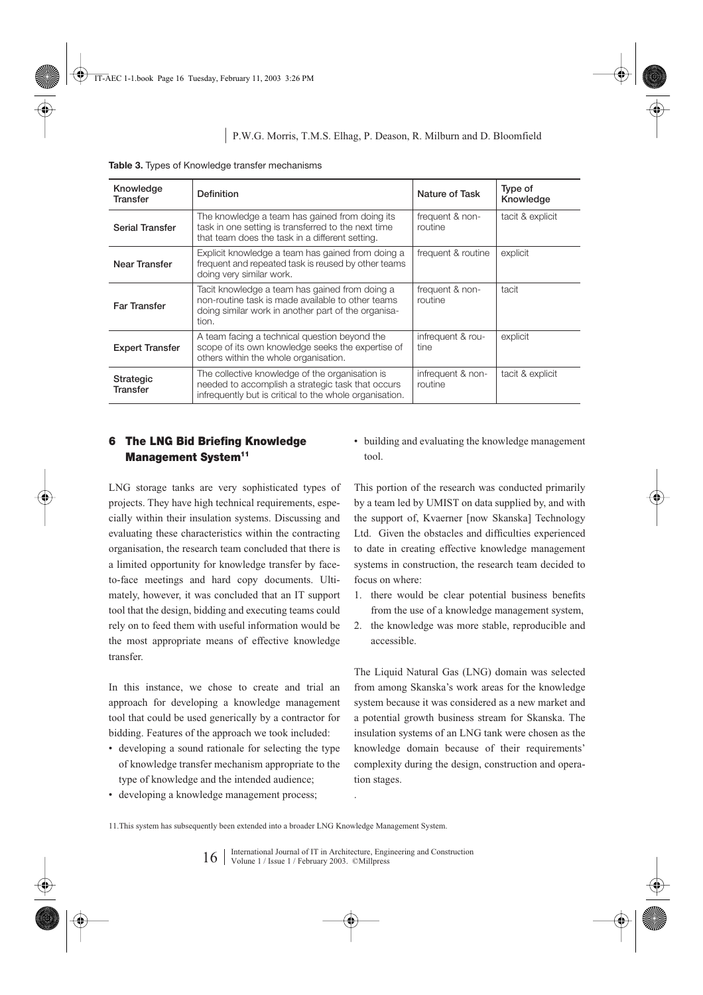| Knowledge<br><b>Transfer</b>        | Nature of Task<br>Definition                                                                                                                                                                    |                                | Type of<br>Knowledge |  |
|-------------------------------------|-------------------------------------------------------------------------------------------------------------------------------------------------------------------------------------------------|--------------------------------|----------------------|--|
| <b>Serial Transfer</b>              | The knowledge a team has gained from doing its<br>task in one setting is transferred to the next time<br>that team does the task in a different setting.                                        | tacit & explicit               |                      |  |
| Near Transfer                       | Explicit knowledge a team has gained from doing a<br>frequent and repeated task is reused by other teams<br>doing very similar work.                                                            | explicit<br>frequent & routine |                      |  |
| Far Transfer                        | Tacit knowledge a team has gained from doing a<br>non-routine task is made available to other teams<br>doing similar work in another part of the organisa-<br>tion.                             | frequent & non-<br>routine     | tacit                |  |
| <b>Expert Transfer</b>              | A team facing a technical question beyond the<br>scope of its own knowledge seeks the expertise of<br>others within the whole organisation.                                                     | infrequent & rou-<br>tine      | explicit             |  |
| <b>Strategic</b><br><b>Transfer</b> | infrequent & non-<br>The collective knowledge of the organisation is<br>needed to accomplish a strategic task that occurs<br>routine<br>infrequently but is critical to the whole organisation. |                                | tacit & explicit     |  |

**Table 3.** Types of Knowledge transfer mechanisms

# **6 The LNG Bid Briefing Knowledge Management System11**

LNG storage tanks are very sophisticated types of projects. They have high technical requirements, especially within their insulation systems. Discussing and evaluating these characteristics within the contracting organisation, the research team concluded that there is a limited opportunity for knowledge transfer by faceto-face meetings and hard copy documents. Ultimately, however, it was concluded that an IT support tool that the design, bidding and executing teams could rely on to feed them with useful information would be the most appropriate means of effective knowledge transfer.

In this instance, we chose to create and trial an approach for developing a knowledge management tool that could be used generically by a contractor for bidding. Features of the approach we took included:

- developing a sound rationale for selecting the type of knowledge transfer mechanism appropriate to the type of knowledge and the intended audience;
- developing a knowledge management process;

• building and evaluating the knowledge management tool.

This portion of the research was conducted primarily by a team led by UMIST on data supplied by, and with the support of, Kvaerner [now Skanska] Technology Ltd. Given the obstacles and difficulties experienced to date in creating effective knowledge management systems in construction, the research team decided to focus on where:

- 1. there would be clear potential business benefits from the use of a knowledge management system,
- 2. the knowledge was more stable, reproducible and accessible.

The Liquid Natural Gas (LNG) domain was selected from among Skanska's work areas for the knowledge system because it was considered as a new market and a potential growth business stream for Skanska. The insulation systems of an LNG tank were chosen as the knowledge domain because of their requirements' complexity during the design, construction and operation stages.

11.This system has subsequently been extended into a broader LNG Knowledge Management System.

.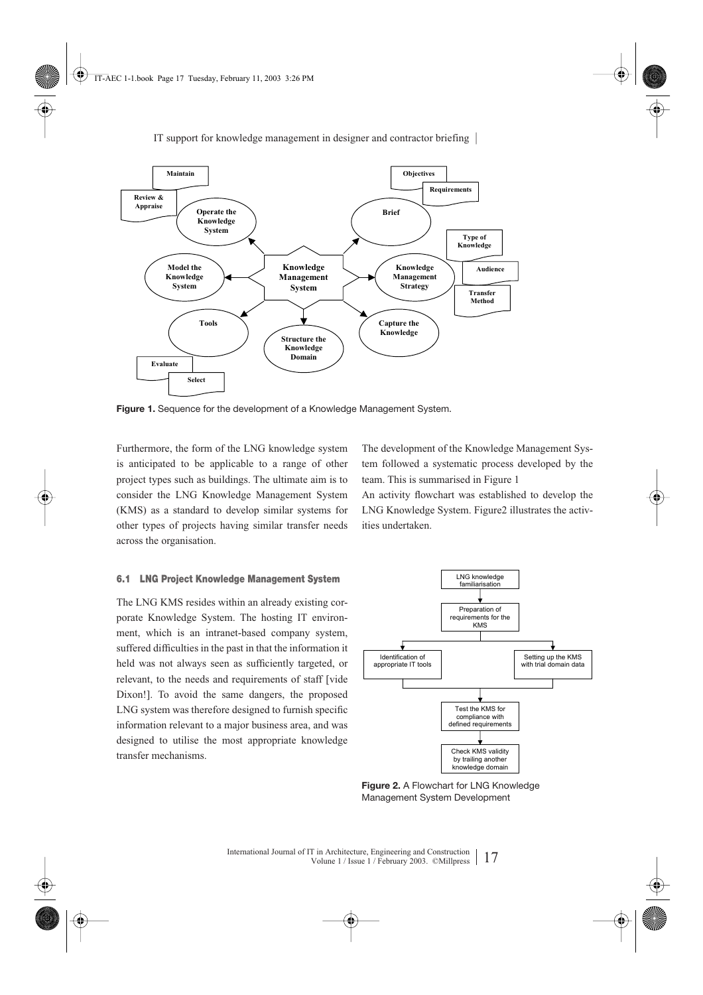IT support for knowledge management in designer and contractor briefing |



**Figure 1.** Sequence for the development of a Knowledge Management System.

Furthermore, the form of the LNG knowledge system is anticipated to be applicable to a range of other project types such as buildings. The ultimate aim is to consider the LNG Knowledge Management System (KMS) as a standard to develop similar systems for other types of projects having similar transfer needs across the organisation.

The development of the Knowledge Management System followed a systematic process developed by the team. This is summarised in Figure 1

An activity flowchart was established to develop the LNG Knowledge System. Figure2 illustrates the activities undertaken.

### **6.1 LNG Project Knowledge Management System**

The LNG KMS resides within an already existing corporate Knowledge System. The hosting IT environment, which is an intranet-based company system, suffered difficulties in the past in that the information it held was not always seen as sufficiently targeted, or relevant, to the needs and requirements of staff [vide Dixon!]. To avoid the same dangers, the proposed LNG system was therefore designed to furnish specific information relevant to a major business area, and was designed to utilise the most appropriate knowledge transfer mechanisms.



**Figure 2.** A Flowchart for LNG Knowledge Management System Development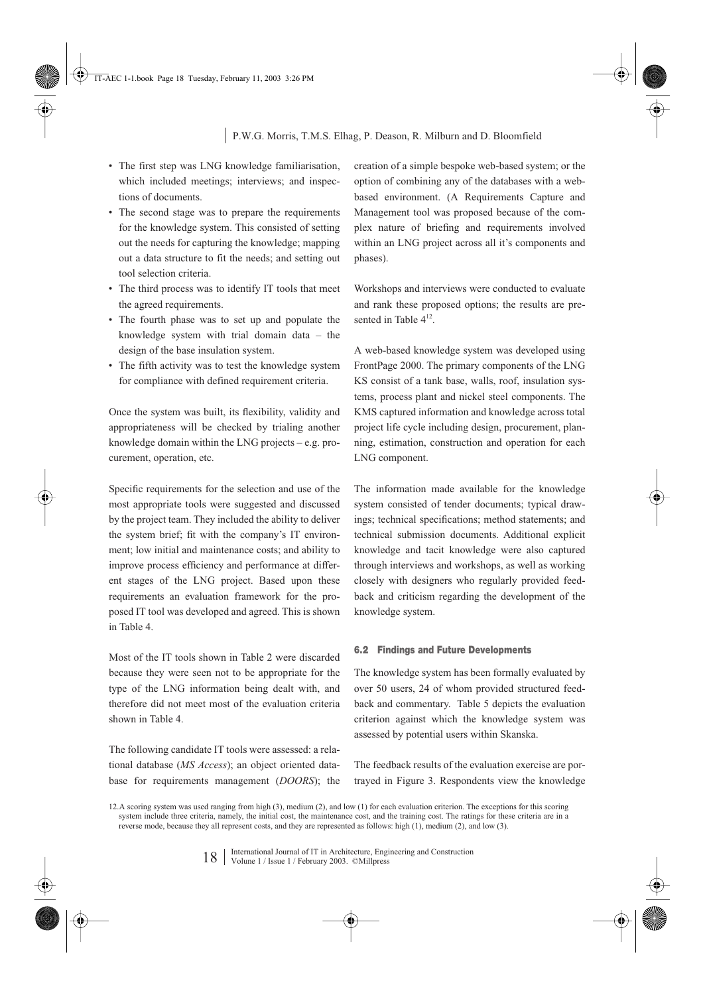- The first step was LNG knowledge familiarisation, which included meetings; interviews; and inspections of documents.
- The second stage was to prepare the requirements for the knowledge system. This consisted of setting out the needs for capturing the knowledge; mapping out a data structure to fit the needs; and setting out tool selection criteria.
- The third process was to identify IT tools that meet the agreed requirements.
- The fourth phase was to set up and populate the knowledge system with trial domain data – the design of the base insulation system.
- The fifth activity was to test the knowledge system for compliance with defined requirement criteria.

Once the system was built, its flexibility, validity and appropriateness will be checked by trialing another knowledge domain within the LNG projects – e.g. procurement, operation, etc.

Specific requirements for the selection and use of the most appropriate tools were suggested and discussed by the project team. They included the ability to deliver the system brief; fit with the company's IT environment; low initial and maintenance costs; and ability to improve process efficiency and performance at different stages of the LNG project. Based upon these requirements an evaluation framework for the proposed IT tool was developed and agreed. This is shown in Table 4.

Most of the IT tools shown in Table 2 were discarded because they were seen not to be appropriate for the type of the LNG information being dealt with, and therefore did not meet most of the evaluation criteria shown in Table 4.

The following candidate IT tools were assessed: a relational database (*MS Access*); an object oriented database for requirements management (*DOORS*); the creation of a simple bespoke web-based system; or the option of combining any of the databases with a webbased environment. (A Requirements Capture and Management tool was proposed because of the complex nature of briefing and requirements involved within an LNG project across all it's components and phases).

Workshops and interviews were conducted to evaluate and rank these proposed options; the results are presented in Table  $4^{12}$ .

A web-based knowledge system was developed using FrontPage 2000. The primary components of the LNG KS consist of a tank base, walls, roof, insulation systems, process plant and nickel steel components. The KMS captured information and knowledge across total project life cycle including design, procurement, planning, estimation, construction and operation for each LNG component.

The information made available for the knowledge system consisted of tender documents; typical drawings; technical specifications; method statements; and technical submission documents. Additional explicit knowledge and tacit knowledge were also captured through interviews and workshops, as well as working closely with designers who regularly provided feedback and criticism regarding the development of the knowledge system.

#### **6.2 Findings and Future Developments**

The knowledge system has been formally evaluated by over 50 users, 24 of whom provided structured feedback and commentary. Table 5 depicts the evaluation criterion against which the knowledge system was assessed by potential users within Skanska.

The feedback results of the evaluation exercise are portrayed in Figure 3. Respondents view the knowledge

12.A scoring system was used ranging from high (3), medium (2), and low (1) for each evaluation criterion. The exceptions for this scoring system include three criteria, namely, the initial cost, the maintenance cost, and the training cost. The ratings for these criteria are in a reverse mode, because they all represent costs, and they are represented as follows: high (1), medium (2), and low (3).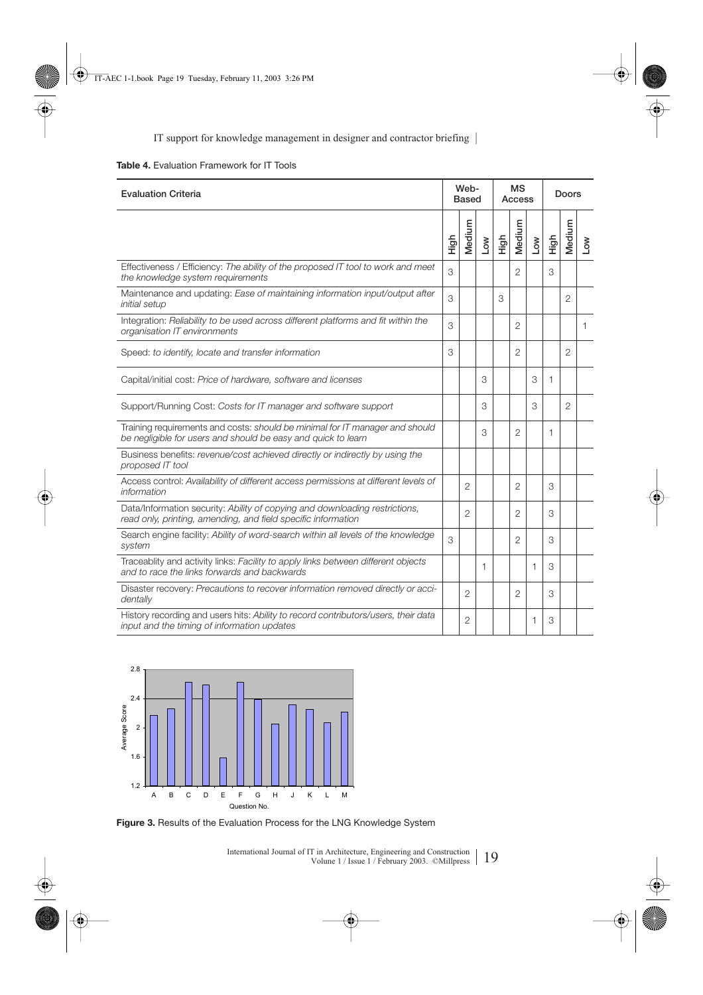#### **Table 4.** Evaluation Framework for IT Tools

| <b>Evaluation Criteria</b>                                                                                                                    |      | Web-<br>Based  |              | <b>MS</b><br>Access |                |     | Doors |                |     |
|-----------------------------------------------------------------------------------------------------------------------------------------------|------|----------------|--------------|---------------------|----------------|-----|-------|----------------|-----|
|                                                                                                                                               | High | Medium         | Low          | High                | Medium         | Low | High  | Medium         | Low |
| Effectiveness / Efficiency: The ability of the proposed IT tool to work and meet<br>the knowledge system requirements                         | 3    |                |              |                     | $\overline{2}$ |     | 3     |                |     |
| Maintenance and updating: Ease of maintaining information input/output after<br><i>initial</i> setup                                          | 3    |                |              | 3                   |                |     |       | $\overline{2}$ |     |
| Integration: Reliability to be used across different platforms and fit within the<br>organisation IT environments                             | 3    |                |              |                     | $\overline{2}$ |     |       |                | 1   |
| Speed: to identify, locate and transfer information                                                                                           | 3    |                |              |                     | $\overline{2}$ |     |       | 2              |     |
| Capital/initial cost: Price of hardware, software and licenses                                                                                |      |                | 3            |                     |                | 3   | 1     |                |     |
| Support/Running Cost: Costs for IT manager and software support                                                                               |      |                | 3            |                     |                | 3   |       | $\overline{2}$ |     |
| Training requirements and costs: should be minimal for IT manager and should<br>be negligible for users and should be easy and quick to learn |      |                | 3            |                     | $\overline{2}$ |     | 1     |                |     |
| Business benefits: revenue/cost achieved directly or indirectly by using the<br>proposed IT tool                                              |      |                |              |                     |                |     |       |                |     |
| Access control: Availability of different access permissions at different levels of<br>information                                            |      | $\overline{2}$ |              |                     | 2              |     | 3     |                |     |
| Data/Information security: Ability of copying and downloading restrictions,<br>read only, printing, amending, and field specific information  |      | 2              |              |                     | $\overline{2}$ |     | 3     |                |     |
| Search engine facility: Ability of word-search within all levels of the knowledge<br>system                                                   | 3    |                |              |                     | $\overline{2}$ |     | 3     |                |     |
| Traceablity and activity links: Facility to apply links between different objects<br>and to race the links forwards and backwards             |      |                | $\mathbf{1}$ |                     |                | 1   | 3     |                |     |
| Disaster recovery: Precautions to recover information removed directly or acci-<br>dentally                                                   |      | 2              |              |                     | 2              |     | 3     |                |     |
| History recording and users hits: Ability to record contributors/users, their data<br>input and the timing of information updates             |      | $\overline{2}$ |              |                     |                | 1   | 3     |                |     |



Figure 3. Results of the Evaluation Process for the LNG Knowledge System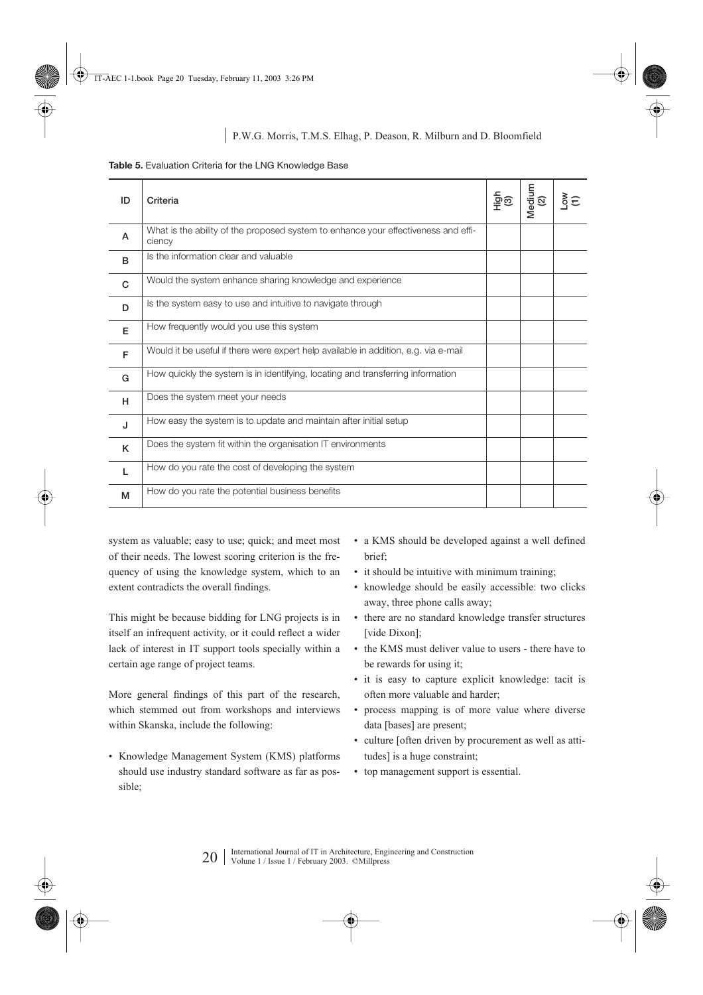**Table 5.** Evaluation Criteria for the LNG Knowledge Base

| ID | Criteria                                                                                     | ်စေ<br>မြ | Medium<br>(2) | ξÊ |
|----|----------------------------------------------------------------------------------------------|-----------|---------------|----|
| A  | What is the ability of the proposed system to enhance your effectiveness and effi-<br>ciency |           |               |    |
| B  | Is the information clear and valuable                                                        |           |               |    |
| C  | Would the system enhance sharing knowledge and experience                                    |           |               |    |
| D  | Is the system easy to use and intuitive to navigate through                                  |           |               |    |
| E  | How frequently would you use this system                                                     |           |               |    |
| E  | Would it be useful if there were expert help available in addition, e.g. via e-mail          |           |               |    |
| G  | How quickly the system is in identifying, locating and transferring information              |           |               |    |
| H  | Does the system meet your needs                                                              |           |               |    |
| J  | How easy the system is to update and maintain after initial setup                            |           |               |    |
| K  | Does the system fit within the organisation IT environments                                  |           |               |    |
| L  | How do you rate the cost of developing the system                                            |           |               |    |
| М  | How do you rate the potential business benefits                                              |           |               |    |

system as valuable; easy to use; quick; and meet most of their needs. The lowest scoring criterion is the frequency of using the knowledge system, which to an extent contradicts the overall findings.

This might be because bidding for LNG projects is in itself an infrequent activity, or it could reflect a wider lack of interest in IT support tools specially within a certain age range of project teams.

More general findings of this part of the research, which stemmed out from workshops and interviews within Skanska, include the following:

• Knowledge Management System (KMS) platforms should use industry standard software as far as possible;

- a KMS should be developed against a well defined brief;
- it should be intuitive with minimum training;
- knowledge should be easily accessible: two clicks away, three phone calls away;
- there are no standard knowledge transfer structures [vide Dixon];
- the KMS must deliver value to users there have to be rewards for using it;
- it is easy to capture explicit knowledge: tacit is often more valuable and harder;
- process mapping is of more value where diverse data [bases] are present;
- culture [often driven by procurement as well as attitudes] is a huge constraint;
- top management support is essential.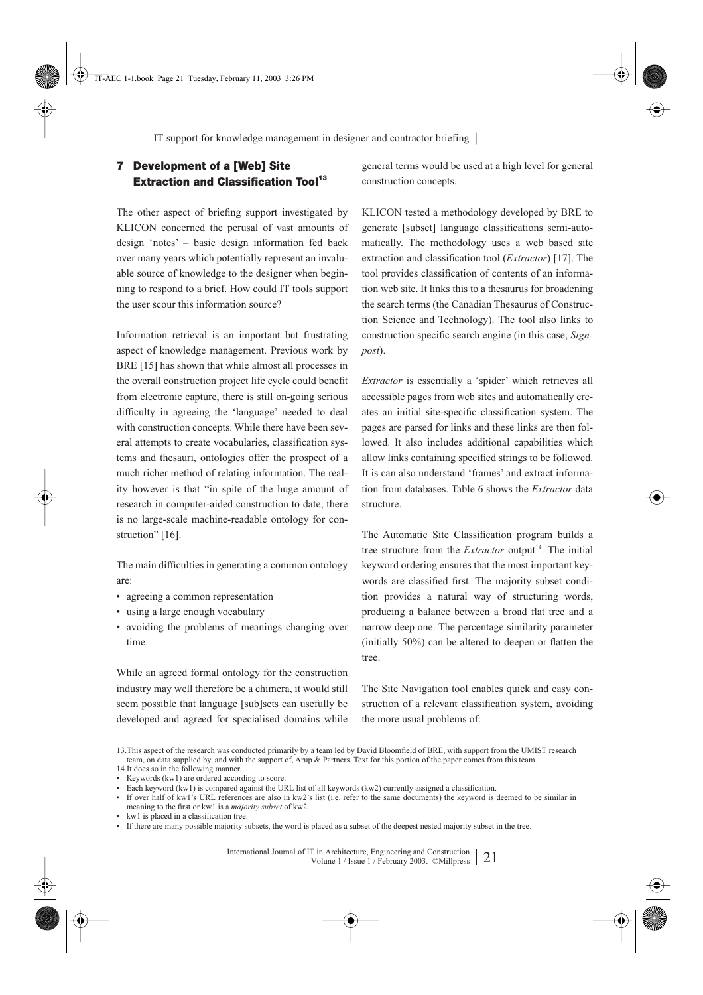### **7 Development of a [Web] Site Extraction and Classification Tool**<sup>13</sup>

The other aspect of briefing support investigated by KLICON concerned the perusal of vast amounts of design 'notes' – basic design information fed back over many years which potentially represent an invaluable source of knowledge to the designer when beginning to respond to a brief. How could IT tools support the user scour this information source?

Information retrieval is an important but frustrating aspect of knowledge management. Previous work by BRE [15] has shown that while almost all processes in the overall construction project life cycle could benefit from electronic capture, there is still on-going serious difficulty in agreeing the 'language' needed to deal with construction concepts. While there have been several attempts to create vocabularies, classification systems and thesauri, ontologies offer the prospect of a much richer method of relating information. The reality however is that "in spite of the huge amount of research in computer-aided construction to date, there is no large-scale machine-readable ontology for construction" [16].

The main difficulties in generating a common ontology are:

- agreeing a common representation
- using a large enough vocabulary
- avoiding the problems of meanings changing over time.

While an agreed formal ontology for the construction industry may well therefore be a chimera, it would still seem possible that language [sub]sets can usefully be developed and agreed for specialised domains while general terms would be used at a high level for general construction concepts.

KLICON tested a methodology developed by BRE to generate [subset] language classifications semi-automatically. The methodology uses a web based site extraction and classification tool (*Extractor*) [17]. The tool provides classification of contents of an information web site. It links this to a thesaurus for broadening the search terms (the Canadian Thesaurus of Construction Science and Technology). The tool also links to construction specific search engine (in this case, *Signpost*).

*Extractor* is essentially a 'spider' which retrieves all accessible pages from web sites and automatically creates an initial site-specific classification system. The pages are parsed for links and these links are then followed. It also includes additional capabilities which allow links containing specified strings to be followed. It is can also understand 'frames' and extract information from databases. Table 6 shows the *Extractor* data structure.

The Automatic Site Classification program builds a tree structure from the *Extractor* output<sup>14</sup>. The initial keyword ordering ensures that the most important keywords are classified first. The majority subset condition provides a natural way of structuring words, producing a balance between a broad flat tree and a narrow deep one. The percentage similarity parameter (initially 50%) can be altered to deepen or flatten the tree.

The Site Navigation tool enables quick and easy construction of a relevant classification system, avoiding the more usual problems of:

• kw1 is placed in a classification tree.

<sup>13.</sup>This aspect of the research was conducted primarily by a team led by David Bloomfield of BRE, with support from the UMIST research team, on data supplied by, and with the support of, Arup & Partners. Text for this portion of the paper comes from this team.

<sup>14.</sup>It does so in the following manner.

<sup>•</sup> Keywords (kw1) are ordered according to score.

<sup>•</sup> Each keyword (kw1) is compared against the URL list of all keywords (kw2) currently assigned a classification.

<sup>•</sup> If over half of kw1's URL references are also in kw2's list (i.e. refer to the same documents) the keyword is deemed to be similar in meaning to the first or kw1 is a *majority subset* of kw2.

<sup>•</sup> If there are many possible majority subsets, the word is placed as a subset of the deepest nested majority subset in the tree.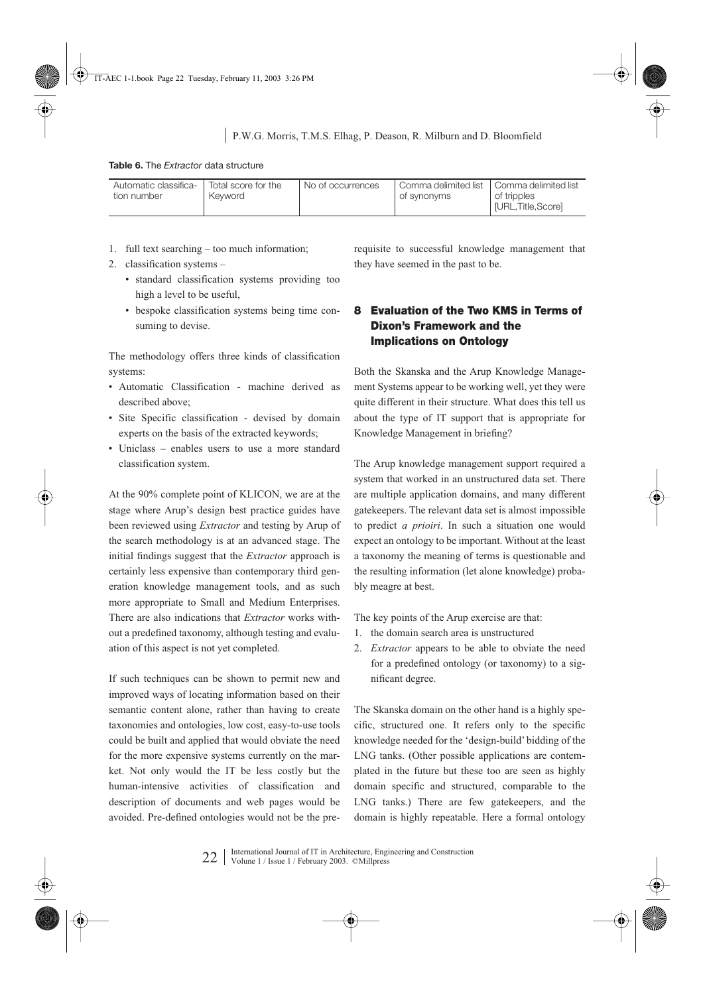**Table 6.** The *Extractor* data structure

| Automatic classifica-<br>Total score for the<br>tion number<br>Kevword | No of occurrences | Comma delimited list<br>of synonyms | Comma delimited list<br>of tripples<br>[URL, Title, Score] |
|------------------------------------------------------------------------|-------------------|-------------------------------------|------------------------------------------------------------|
|------------------------------------------------------------------------|-------------------|-------------------------------------|------------------------------------------------------------|

- 1. full text searching too much information;
- 2. classification systems
	- standard classification systems providing too high a level to be useful,
	- bespoke classification systems being time consuming to devise.

The methodology offers three kinds of classification systems:

- Automatic Classification machine derived as described above;
- Site Specific classification devised by domain experts on the basis of the extracted keywords;
- Uniclass enables users to use a more standard classification system.

At the 90% complete point of KLICON, we are at the stage where Arup's design best practice guides have been reviewed using *Extractor* and testing by Arup of the search methodology is at an advanced stage. The initial findings suggest that the *Extractor* approach is certainly less expensive than contemporary third generation knowledge management tools, and as such more appropriate to Small and Medium Enterprises. There are also indications that *Extractor* works without a predefined taxonomy, although testing and evaluation of this aspect is not yet completed.

If such techniques can be shown to permit new and improved ways of locating information based on their semantic content alone, rather than having to create taxonomies and ontologies, low cost, easy-to-use tools could be built and applied that would obviate the need for the more expensive systems currently on the market. Not only would the IT be less costly but the human-intensive activities of classification and description of documents and web pages would be avoided. Pre-defined ontologies would not be the prerequisite to successful knowledge management that they have seemed in the past to be.

# **8 Evaluation of the Two KMS in Terms of Dixon's Framework and the Implications on Ontology**

Both the Skanska and the Arup Knowledge Management Systems appear to be working well, yet they were quite different in their structure. What does this tell us about the type of IT support that is appropriate for Knowledge Management in briefing?

The Arup knowledge management support required a system that worked in an unstructured data set. There are multiple application domains, and many different gatekeepers. The relevant data set is almost impossible to predict *a prioiri*. In such a situation one would expect an ontology to be important. Without at the least a taxonomy the meaning of terms is questionable and the resulting information (let alone knowledge) probably meagre at best.

The key points of the Arup exercise are that:

- 1. the domain search area is unstructured
- 2. *Extractor* appears to be able to obviate the need for a predefined ontology (or taxonomy) to a significant degree.

The Skanska domain on the other hand is a highly specific, structured one. It refers only to the specific knowledge needed for the 'design-build' bidding of the LNG tanks. (Other possible applications are contemplated in the future but these too are seen as highly domain specific and structured, comparable to the LNG tanks.) There are few gatekeepers, and the domain is highly repeatable. Here a formal ontology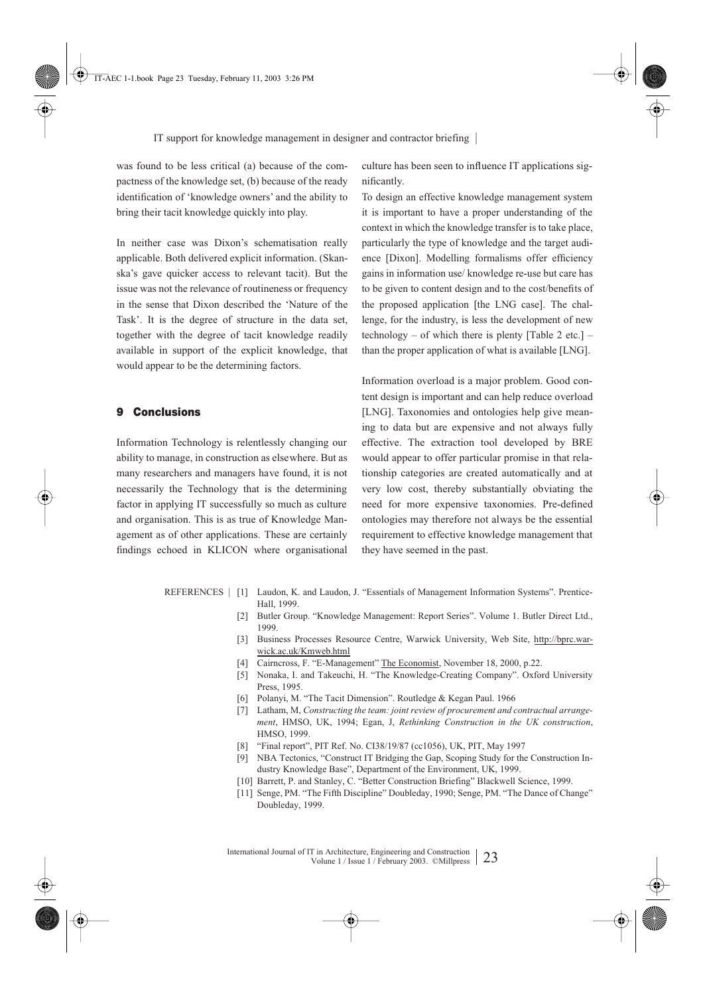was found to be less critical (a) because of the compactness of the knowledge set, (b) because of the ready identification of 'knowledge owners' and the ability to bring their tacit knowledge quickly into play.

In neither case was Dixon's schematisation really applicable. Both delivered explicit information. (Skanska's gave quicker access to relevant tacit). But the issue was not the relevance of routineness or frequency in the sense that Dixon described the 'Nature of the Task'. It is the degree of structure in the data set, together with the degree of tacit knowledge readily available in support of the explicit knowledge, that would appear to be the determining factors.

#### **9 Conclusions**

Information Technology is relentlessly changing our ability to manage, in construction as elsewhere. But as many researchers and managers have found, it is not necessarily the Technology that is the determining factor in applying IT successfully so much as culture and organisation. This is as true of Knowledge Management as of other applications. These are certainly findings echoed in KLICON where organisational culture has been seen to influence IT applications significantly.

To design an effective knowledge management system it is important to have a proper understanding of the context in which the knowledge transfer is to take place, particularly the type of knowledge and the target audience [Dixon]. Modelling formalisms offer efficiency gains in information use/ knowledge re-use but care has to be given to content design and to the cost/benefits of the proposed application [the LNG case]. The challenge, for the industry, is less the development of new technology – of which there is plenty [Table 2 etc.] – than the proper application of what is available [LNG].

Information overload is a major problem. Good content design is important and can help reduce overload [LNG]. Taxonomies and ontologies help give meaning to data but are expensive and not always fully effective. The extraction tool developed by BRE would appear to offer particular promise in that relationship categories are created automatically and at very low cost, thereby substantially obviating the need for more expensive taxonomies. Pre-defined ontologies may therefore not always be the essential requirement to effective knowledge management that they have seemed in the past.

- REFERENCES | [1] Laudon, K. and Laudon, J. "Essentials of Management Information Systems". Prentice-Hall, 1999.
	- [2] Butler Group. "Knowledge Management: Report Series". Volume 1. Butler Direct Ltd., 1999.
	- [3] Business Processes Resource Centre, Warwick University, Web Site, http://bprc.warwick.ac.uk/Kmweb.html
	- [4] Cairncross, F. "E-Management" The Economist, November 18, 2000, p.22.
	- [5] Nonaka, I. and Takeuchi, H. "The Knowledge-Creating Company". Oxford University Press, 1995.
	- [6] Polanyi, M. "The Tacit Dimension". Routledge & Kegan Paul. 1966
	- [7] Latham, M, *Constructing the team: joint review of procurement and contractual arrangement*, HMSO, UK, 1994; Egan, J, *Rethinking Construction in the UK construction*, HMSO, 1999.
	- [8] "Final report", PIT Ref. No. CI38/19/87 (cc1056), UK, PIT, May 1997
	- [9] NBA Tectonics, "Construct IT Bridging the Gap, Scoping Study for the Construction Industry Knowledge Base", Department of the Environment, UK, 1999.
	- [10] Barrett, P. and Stanley, C. "Better Construction Briefing" Blackwell Science, 1999.
	- [11] Senge, PM. "The Fifth Discipline" Doubleday, 1990; Senge, PM. "The Dance of Change" Doubleday, 1999.